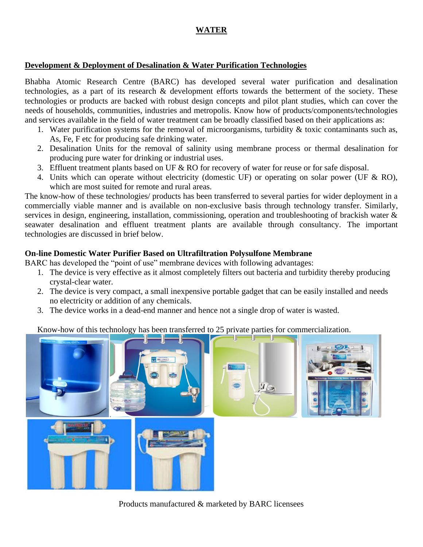# **WATER**

#### **Development & Deployment of Desalination & Water Purification Technologies**

Bhabha Atomic Research Centre (BARC) has developed several water purification and desalination technologies, as a part of its research & development efforts towards the betterment of the society. These technologies or products are backed with robust design concepts and pilot plant studies, which can cover the needs of households, communities, industries and metropolis. Know how of products/components/technologies and services available in the field of water treatment can be broadly classified based on their applications as:

- 1. Water purification systems for the removal of microorganisms, turbidity  $\&$  toxic contaminants such as, As, Fe, F etc for producing safe drinking water.
- 2. Desalination Units for the removal of salinity using membrane process or thermal desalination for producing pure water for drinking or industrial uses.
- 3. Effluent treatment plants based on UF & RO for recovery of water for reuse or for safe disposal.
- 4. Units which can operate without electricity (domestic UF) or operating on solar power (UF & RO), which are most suited for remote and rural areas.

The know-how of these technologies/ products has been transferred to several parties for wider deployment in a commercially viable manner and is available on non-exclusive basis through technology transfer. Similarly, services in design, engineering, installation, commissioning, operation and troubleshooting of brackish water & seawater desalination and effluent treatment plants are available through consultancy. The important technologies are discussed in brief below.

#### **On-line Domestic Water Purifier Based on Ultrafiltration Polysulfone Membrane**

BARC has developed the "point of use" membrane devices with following advantages:

- 1. The device is very effective as it almost completely filters out bacteria and turbidity thereby producing crystal-clear water.
- 2. The device is very compact, a small inexpensive portable gadget that can be easily installed and needs no electricity or addition of any chemicals.
- 3. The device works in a dead-end manner and hence not a single drop of water is wasted.

Know-how of this technology has been transferred to 25 private parties for commercialization.



Products manufactured & marketed by BARC licensees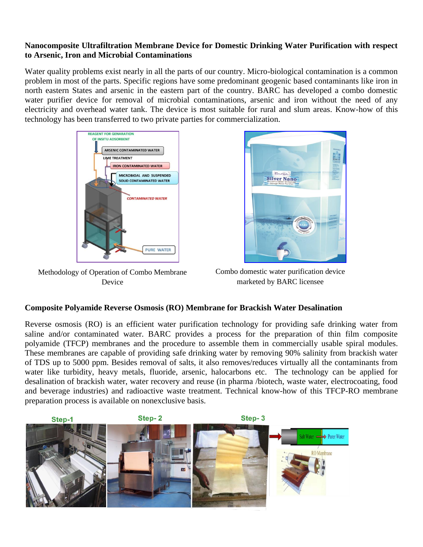## **Nanocomposite Ultrafiltration Membrane Device for Domestic Drinking Water Purification with respect to Arsenic, Iron and Microbial Contaminations**

Water quality problems exist nearly in all the parts of our country. Micro-biological contamination is a common problem in most of the parts. Specific regions have some predominant geogenic based contaminants like iron in north eastern States and arsenic in the eastern part of the country. BARC has developed a combo domestic water purifier device for removal of microbial contaminations, arsenic and iron without the need of any electricity and overhead water tank. The device is most suitable for rural and slum areas. Know-how of this technology has been transferred to two private parties for commercialization.



Methodology of Operation of Combo Membrane Device



Combo domestic water purification device marketed by BARC licensee

## **Composite Polyamide Reverse Osmosis (RO) Membrane for Brackish Water Desalination**

Reverse osmosis (RO) is an efficient water purification technology for providing safe drinking water from saline and/or contaminated water. BARC provides a process for the preparation of thin film composite polyamide (TFCP) membranes and the procedure to assemble them in commercially usable spiral modules. These membranes are capable of providing safe drinking water by removing 90% salinity from brackish water of TDS up to 5000 ppm. Besides removal of salts, it also removes/reduces virtually all the contaminants from water like turbidity, heavy metals, fluoride, arsenic, halocarbons etc. The technology can be applied for desalination of brackish water, water recovery and reuse (in pharma /biotech, waste water, electrocoating, food and beverage industries) and radioactive waste treatment. Technical know-how of this TFCP-RO membrane preparation process is available on nonexclusive basis.

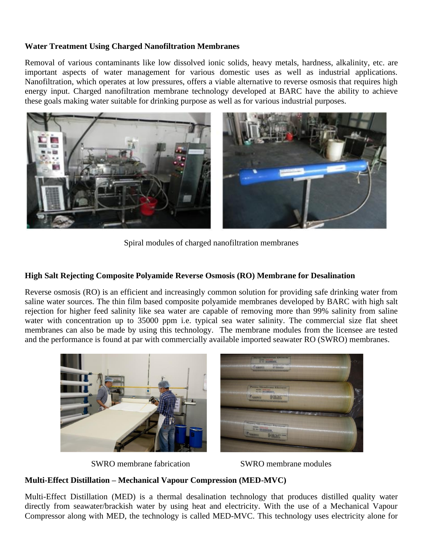## **Water Treatment Using Charged Nanofiltration Membranes**

Removal of various contaminants like low dissolved ionic solids, heavy metals, hardness, alkalinity, etc. are important aspects of water management for various domestic uses as well as industrial applications. Nanofiltration, which operates at low pressures, offers a viable alternative to reverse osmosis that requires high energy input. Charged nanofiltration membrane technology developed at BARC have the ability to achieve these goals making water suitable for drinking purpose as well as for various industrial purposes.



Spiral modules of charged nanofiltration membranes

#### **High Salt Rejecting Composite Polyamide Reverse Osmosis (RO) Membrane for Desalination**

Reverse osmosis (RO) is an efficient and increasingly common solution for providing safe drinking water from saline water sources. The thin film based composite polyamide membranes developed by BARC with high salt rejection for higher feed salinity like sea water are capable of removing more than 99% salinity from saline water with concentration up to 35000 ppm i.e. typical sea water salinity. The commercial size flat sheet membranes can also be made by using this technology. The membrane modules from the licensee are tested and the performance is found at par with commercially available imported seawater RO (SWRO) membranes.



SWRO membrane fabrication SWRO membrane modules

## **Multi-Effect Distillation – Mechanical Vapour Compression (MED-MVC)**

Multi-Effect Distillation (MED) is a thermal desalination technology that produces distilled quality water directly from seawater/brackish water by using heat and electricity. With the use of a Mechanical Vapour Compressor along with MED, the technology is called MED-MVC. This technology uses electricity alone for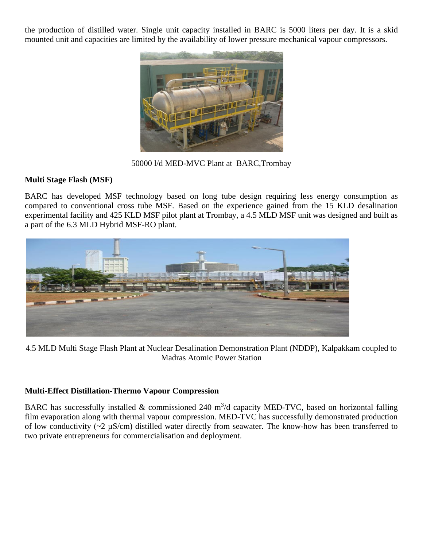the production of distilled water. Single unit capacity installed in BARC is 5000 liters per day. It is a skid mounted unit and capacities are limited by the availability of lower pressure mechanical vapour compressors.



50000 l/d MED-MVC Plant at BARC,Trombay

# **Multi Stage Flash (MSF)**

BARC has developed MSF technology based on long tube design requiring less energy consumption as compared to conventional cross tube MSF. Based on the experience gained from the 15 KLD desalination experimental facility and 425 KLD MSF pilot plant at Trombay, a 4.5 MLD MSF unit was designed and built as a part of the 6.3 MLD Hybrid MSF-RO plant.

![](_page_3_Picture_5.jpeg)

4.5 MLD Multi Stage Flash Plant at Nuclear Desalination Demonstration Plant (NDDP), Kalpakkam coupled to Madras Atomic Power Station

## **Multi-Effect Distillation-Thermo Vapour Compression**

BARC has successfully installed  $&$  commissioned 240 m<sup>3</sup>/d capacity MED-TVC, based on horizontal falling film evaporation along with thermal vapour compression. MED-TVC has successfully demonstrated production of low conductivity (~2 µS/cm) distilled water directly from seawater. The know-how has been transferred to two private entrepreneurs for commercialisation and deployment.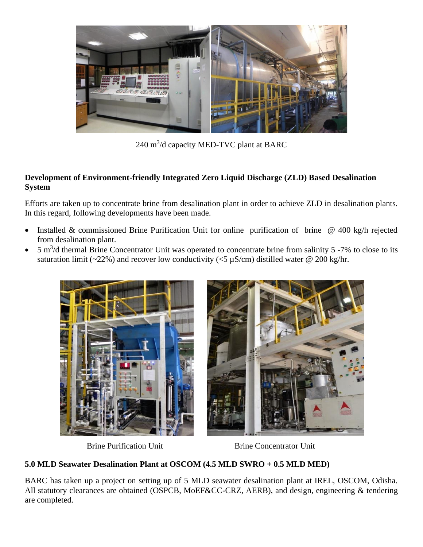![](_page_4_Picture_0.jpeg)

240 m<sup>3</sup>/d capacity MED-TVC plant at BARC

## **Development of Environment-friendly Integrated Zero Liquid Discharge (ZLD) Based Desalination System**

Efforts are taken up to concentrate brine from desalination plant in order to achieve ZLD in desalination plants. In this regard, following developments have been made.

- Installed & commissioned Brine Purification Unit for online purification of brine @ 400 kg/h rejected from desalination plant.
- $\bullet$  5 m<sup>3</sup>/d thermal Brine Concentrator Unit was operated to concentrate brine from salinity 5 -7% to close to its saturation limit (~22%) and recover low conductivity (<5  $\mu$ S/cm) distilled water @ 200 kg/hr.

![](_page_4_Picture_6.jpeg)

Brine Purification Unit Brine Concentrator Unit

# **5.0 MLD Seawater Desalination Plant at OSCOM (4.5 MLD SWRO + 0.5 MLD MED)**

BARC has taken up a project on setting up of 5 MLD seawater desalination plant at IREL, OSCOM, Odisha. All statutory clearances are obtained (OSPCB, MoEF&CC-CRZ, AERB), and design, engineering & tendering are completed.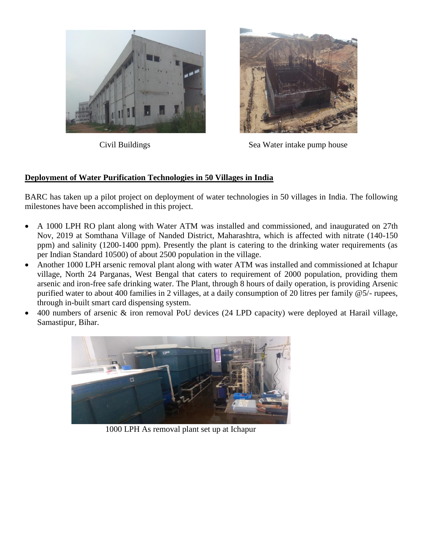![](_page_5_Picture_0.jpeg)

![](_page_5_Picture_2.jpeg)

Civil Buildings Sea Water intake pump house

# **Deployment of Water Purification Technologies in 50 Villages in India**

BARC has taken up a pilot project on deployment of water technologies in 50 villages in India. The following milestones have been accomplished in this project.

- A 1000 LPH RO plant along with Water ATM was installed and commissioned, and inaugurated on 27th Nov, 2019 at Somthana Village of Nanded District, Maharashtra, which is affected with nitrate (140-150 ppm) and salinity (1200-1400 ppm). Presently the plant is catering to the drinking water requirements (as per Indian Standard 10500) of about 2500 population in the village.
- Another 1000 LPH arsenic removal plant along with water ATM was installed and commissioned at Ichapur village, North 24 Parganas, West Bengal that caters to requirement of 2000 population, providing them arsenic and iron-free safe drinking water. The Plant, through 8 hours of daily operation, is providing Arsenic purified water to about 400 families in 2 villages, at a daily consumption of 20 litres per family @5/- rupees, through in-built smart card dispensing system.
- 400 numbers of arsenic & iron removal PoU devices (24 LPD capacity) were deployed at Harail village, Samastipur, Bihar.

![](_page_5_Picture_9.jpeg)

1000 LPH As removal plant set up at Ichapur